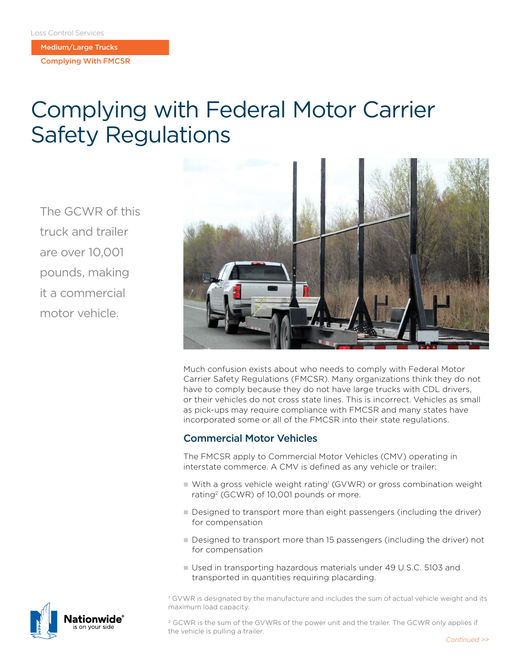Medium/Large Trucks

Complying With FMCSR

# Complying with Federal Motor Carrier Safety Regulations

The GCWR of this truck and trailer are over 10,001 pounds, making it a commercial motor vehicle.



Much confusion exists about who needs to comply with Federal Motor Carrier Safety Regulations (FMCSR). Many organizations think they do not have to comply because they do not have large trucks with CDL drivers, or their vehicles do not cross state lines. This is incorrect. Vehicles as small as pick-ups may require compliance with FMCSR and many states have incorporated some or all of the FMCSR into their state regulations.

## Commercial Motor Vehicles

The FMCSR apply to Commercial Motor Vehicles (CMV) operating in interstate commerce. A CMV is defined as any vehicle or trailer:

- With a gross vehicle weight rating<sup>1</sup> (GVWR) or gross combination weight rating2 (GCWR) of 10,001 pounds or more.
- Designed to transport more than eight passengers (including the driver) for compensation
- Designed to transport more than 15 passengers (including the driver) not for compensation
- Used in transporting hazardous materials under 49 U.S.C. 5103 and transported in quantities requiring placarding.

1 GVWR is designated by the manufacture and includes the sum of actual vehicle weight and its maximum load capacity.

2 GCWR is the sum of the GVWRs of the power unit and the trailer. The GCWR only applies if the vehicle is pulling a trailer.

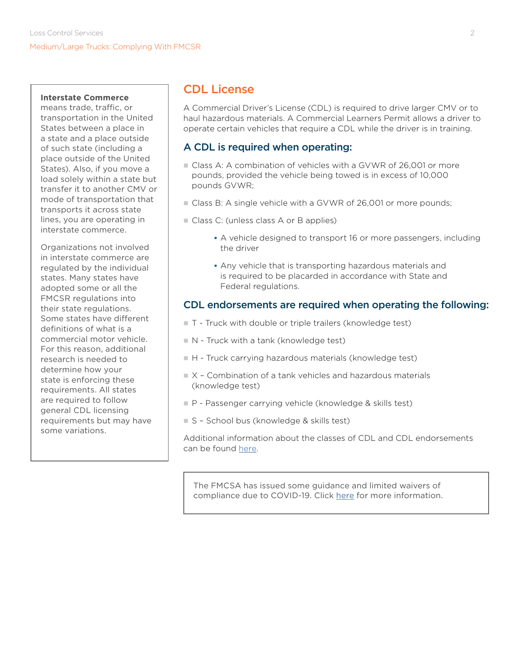#### **Interstate Commerce**

means trade, traffic, or transportation in the United States between a place in a state and a place outside of such state (including a place outside of the United States). Also, if you move a load solely within a state but transfer it to another CMV or mode of transportation that transports it across state lines, you are operating in interstate commerce.

Organizations not involved in interstate commerce are regulated by the individual states. Many states have adopted some or all the FMCSR regulations into their state regulations. Some states have different definitions of what is a commercial motor vehicle. For this reason, additional research is needed to determine how your state is enforcing these requirements. All states are required to follow general CDL licensing requirements but may have some variations.

## CDL License

A Commercial Driver's License (CDL) is required to drive larger CMV or to haul hazardous materials. A Commercial Learners Permit allows a driver to operate certain vehicles that require a CDL while the driver is in training.

## A CDL is required when operating:

- Class A: A combination of vehicles with a GVWR of 26,001 or more pounds, provided the vehicle being towed is in excess of 10,000 pounds GVWR;
- Class B: A single vehicle with a GVWR of 26,001 or more pounds;
- **n** Class C: (unless class A or B applies)
	- A vehicle designed to transport 16 or more passengers, including the driver
	- Any vehicle that is transporting hazardous materials and is required to be placarded in accordance with State and Federal regulations.

### CDL endorsements are required when operating the following:

- T Truck with double or triple trailers (knowledge test)
- $N -$  Truck with a tank (knowledge test)
- $H$  Truck carrying hazardous materials (knowledge test)
- $\blacksquare$  X Combination of a tank vehicles and hazardous materials (knowledge test)
- $P$  Passenger carrying vehicle (knowledge & skills test)
- $S$  School bus (knowledge & skills test)

Additional information about the classes of CDL and CDL endorsements can be found [here](https://www.fmcsa.dot.gov/registration/commercial-drivers-license/drivers).

The FMCSA has issued some guidance and limited waivers of compliance due to COVID-19. Click [here](https://www.fmcsa.dot.gov/COVID-19) for more information.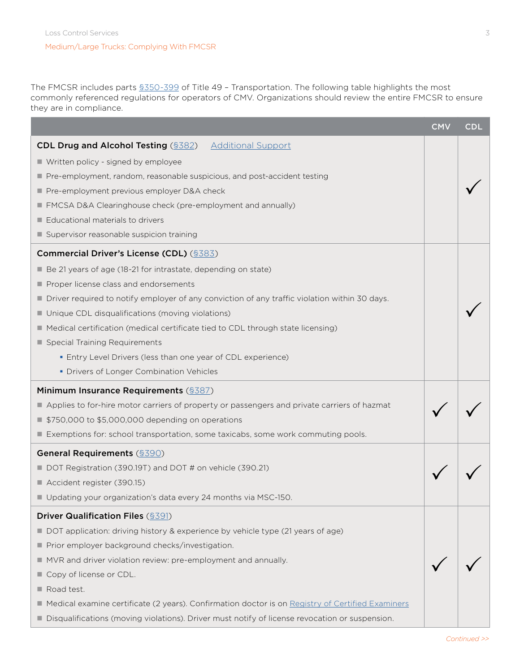The FMCSR includes parts [§350-399](https://www.ecfr.gov/cgi-bin/text-idx?gp=&SID=ffa6cc9e95f4e57fe36c7a6fb2a25f36&mc=true&tpl=/ecfrbrowse/Title49/49CIIIsubchapB.tpl) of Title 49 – Transportation. The following table highlights the most commonly referenced regulations for operators of CMV. Organizations should review the entire FMCSR to ensure they are in compliance.

|                                                                                                    | <b>CMV</b> | <b>CDL</b> |
|----------------------------------------------------------------------------------------------------|------------|------------|
| <b>CDL Drug and Alcohol Testing (§382)</b> Additional Support                                      |            |            |
| ■ Written policy - signed by employee                                                              |            |            |
| Pre-employment, random, reasonable suspicious, and post-accident testing                           |            |            |
| Pre-employment previous employer D&A check                                                         |            |            |
| FMCSA D&A Clearinghouse check (pre-employment and annually)                                        |            |            |
| Educational materials to drivers                                                                   |            |            |
| Supervisor reasonable suspicion training                                                           |            |            |
| <b>Commercial Driver's License (CDL)</b> (§383)                                                    |            |            |
| Be 21 years of age (18-21 for intrastate, depending on state)                                      |            |            |
| Proper license class and endorsements                                                              |            |            |
| ■ Driver required to notify employer of any conviction of any traffic violation within 30 days.    |            |            |
| Unique CDL disqualifications (moving violations)                                                   |            |            |
| Medical certification (medical certificate tied to CDL through state licensing)                    |            |            |
| Special Training Requirements                                                                      |            |            |
| • Entry Level Drivers (less than one year of CDL experience)                                       |            |            |
| • Drivers of Longer Combination Vehicles                                                           |            |            |
| Minimum Insurance Requirements (§387)                                                              |            |            |
| Applies to for-hire motor carriers of property or passengers and private carriers of hazmat        |            |            |
| ■ \$750,000 to \$5,000,000 depending on operations                                                 |            |            |
| Exemptions for: school transportation, some taxicabs, some work commuting pools.                   |            |            |
| <b>General Requirements (\$390)</b>                                                                |            |            |
| DOT Registration (390.19T) and DOT # on vehicle (390.21)                                           |            |            |
| Accident register (390.15)                                                                         |            |            |
| Updating your organization's data every 24 months via MSC-150.                                     |            |            |
| <b>Driver Qualification Files (§391)</b>                                                           |            |            |
| DOT application: driving history & experience by vehicle type (21 years of age)                    |            |            |
| Prior employer background checks/investigation.                                                    |            |            |
| MVR and driver violation review: pre-employment and annually.                                      |            |            |
| Copy of license or CDL.                                                                            |            |            |
| Road test.                                                                                         |            |            |
| A Medical examine certificate (2 years). Confirmation doctor is on Registry of Certified Examiners |            |            |
| Disqualifications (moving violations). Driver must notify of license revocation or suspension.     |            |            |